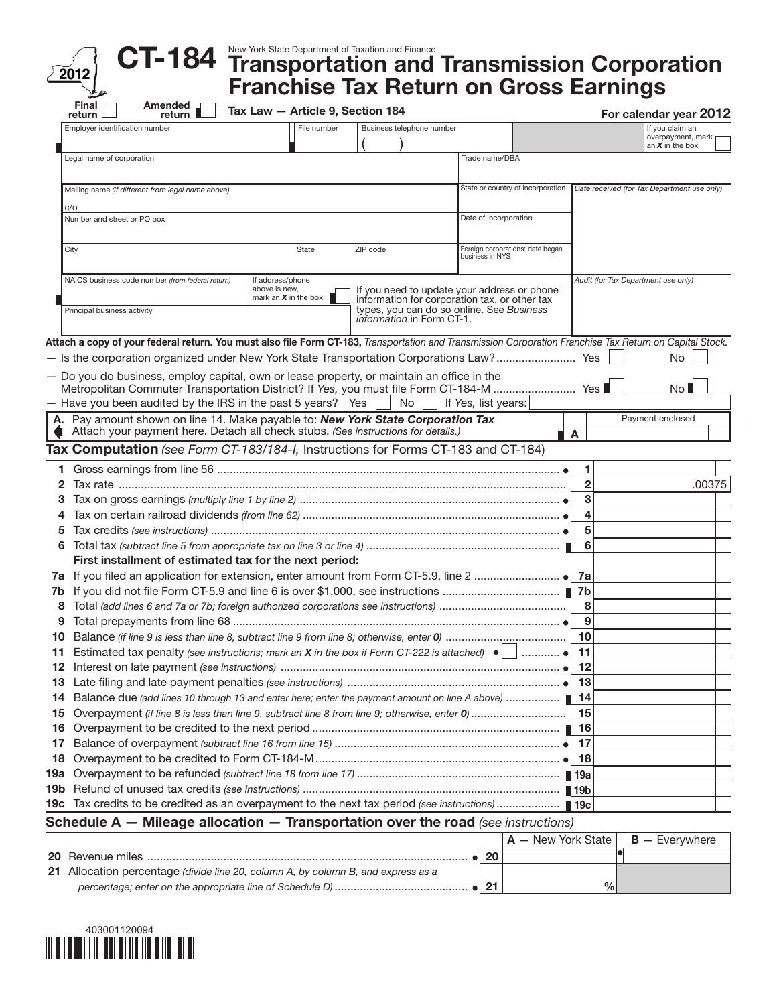| New York State Department of Taxation and Finance |  |
|---------------------------------------------------|--|
| 4 Transportation and Transmissior                 |  |

## New York State Department of Taxation and Finance<br>**Transportation and Transmission Corporation** Franchise Tax Return on Gross Earnings CT-184 Amended  $\Box$

| Final<br>Amended<br>return I<br>return                                                                                                                               | Tax Law - Article 9, Section 184                                         |                                                                        |                                             |                | For calendar year 2012                      |
|----------------------------------------------------------------------------------------------------------------------------------------------------------------------|--------------------------------------------------------------------------|------------------------------------------------------------------------|---------------------------------------------|----------------|---------------------------------------------|
| Employer identification number                                                                                                                                       | File number                                                              | Business telephone number                                              |                                             |                | If you claim an<br>overpayment, mark        |
|                                                                                                                                                                      |                                                                          |                                                                        |                                             |                | an $X$ in the box                           |
| Legal name of corporation                                                                                                                                            |                                                                          |                                                                        | Trade name/DBA                              |                |                                             |
| Mailing name (if different from legal name above)                                                                                                                    |                                                                          |                                                                        | State or country of incorporation           |                | Date received (for Tax Department use only) |
| c/o                                                                                                                                                                  |                                                                          |                                                                        |                                             |                |                                             |
| Number and street or PO box                                                                                                                                          |                                                                          |                                                                        | Date of incorporation                       |                |                                             |
| City                                                                                                                                                                 | State                                                                    | ZIP code                                                               | Foreign corporations: date began            |                |                                             |
|                                                                                                                                                                      |                                                                          |                                                                        | business in NYS                             |                |                                             |
| NAICS business code number (from federal return)                                                                                                                     | If address/phone<br>above is new,<br>mark an $\boldsymbol{X}$ in the box | information for corporation tax, or other tax                          | If you need to update your address or phone |                | Audit (for Tax Department use only)         |
| Principal business activity                                                                                                                                          |                                                                          | types, you can do so online. See Business<br>information in Form CT-1. |                                             |                |                                             |
| Attach a copy of your federal return. You must also file Form CT-183, Transportation and Transmission Corporation Franchise Tax Return on Capital Stock.             |                                                                          |                                                                        |                                             |                |                                             |
| - Is the corporation organized under New York State Transportation Corporations Law? Yes                                                                             |                                                                          |                                                                        |                                             |                | No                                          |
| - Do you do business, employ capital, own or lease property, or maintain an office in the                                                                            |                                                                          |                                                                        |                                             |                |                                             |
| Metropolitan Commuter Transportation District? If Yes, you must file Form CT-184-M  Yes                                                                              |                                                                          |                                                                        |                                             |                | No <sub>1</sub>                             |
| - Have you been audited by the IRS in the past 5 years? Yes                                                                                                          |                                                                          | No                                                                     | If Yes, list years:                         |                |                                             |
| A. Pay amount shown on line 14. Make payable to: New York State Corporation Tax<br>Attach your payment here. Detach all check stubs. (See instructions for details.) |                                                                          |                                                                        |                                             | A              | Payment enclosed                            |
| Tax Computation (see Form CT-183/184-I, Instructions for Forms CT-183 and CT-184)                                                                                    |                                                                          |                                                                        |                                             |                |                                             |
| 1.                                                                                                                                                                   |                                                                          |                                                                        |                                             | 1              |                                             |
| 2                                                                                                                                                                    |                                                                          |                                                                        |                                             | $\overline{2}$ | .00375                                      |
| з                                                                                                                                                                    |                                                                          |                                                                        |                                             | 3              |                                             |
| 4                                                                                                                                                                    |                                                                          |                                                                        |                                             | 4              |                                             |
| 5                                                                                                                                                                    |                                                                          |                                                                        |                                             | 5              |                                             |
| 6                                                                                                                                                                    |                                                                          |                                                                        |                                             | 6              |                                             |
| First installment of estimated tax for the next period:                                                                                                              |                                                                          |                                                                        |                                             |                |                                             |
| 7a                                                                                                                                                                   |                                                                          |                                                                        |                                             |                |                                             |
| 7b                                                                                                                                                                   |                                                                          |                                                                        |                                             |                |                                             |
| 8                                                                                                                                                                    |                                                                          |                                                                        |                                             | 8              |                                             |
| 9                                                                                                                                                                    |                                                                          |                                                                        |                                             | 9              |                                             |
| 10                                                                                                                                                                   |                                                                          |                                                                        |                                             | 10             |                                             |
| Estimated tax penalty (see instructions; mark an <b>X</b> in the box if Form CT-222 is attached) $\bullet$<br>11                                                     |                                                                          |                                                                        |                                             | 11             |                                             |
|                                                                                                                                                                      |                                                                          |                                                                        |                                             | 12             |                                             |
|                                                                                                                                                                      |                                                                          |                                                                        |                                             |                |                                             |
| Balance due (add lines 10 through 13 and enter here; enter the payment amount on line A above)  ■ 14<br>14                                                           |                                                                          |                                                                        |                                             |                |                                             |
| 15                                                                                                                                                                   |                                                                          |                                                                        |                                             | -15            |                                             |
| 16                                                                                                                                                                   |                                                                          |                                                                        |                                             |                |                                             |
| 17                                                                                                                                                                   |                                                                          |                                                                        |                                             |                |                                             |
| 18                                                                                                                                                                   |                                                                          |                                                                        |                                             |                |                                             |
| 19а                                                                                                                                                                  |                                                                          |                                                                        |                                             |                |                                             |
|                                                                                                                                                                      |                                                                          |                                                                        |                                             |                |                                             |
| 19c Tax credits to be credited as an overpayment to the next tax period (see instructions) 19c                                                                       |                                                                          |                                                                        |                                             |                |                                             |
| Schodule $\Lambda$ $\blacksquare$ Mileage allocation $\blacksquare$ Transportation over the road (see instructions)                                                  |                                                                          |                                                                        |                                             |                |                                             |

## Schedule A — Mileage allocation — Transportation over the road *(see instructions)*

|                                                                                   |    | $ A - New York State $ B - Everywhere |  |
|-----------------------------------------------------------------------------------|----|---------------------------------------|--|
| <b>20</b> Revenue miles                                                           | 20 |                                       |  |
| 21 Allocation percentage (divide line 20, column A, by column B, and express as a |    |                                       |  |
|                                                                                   |    | $\%$                                  |  |



 $2012$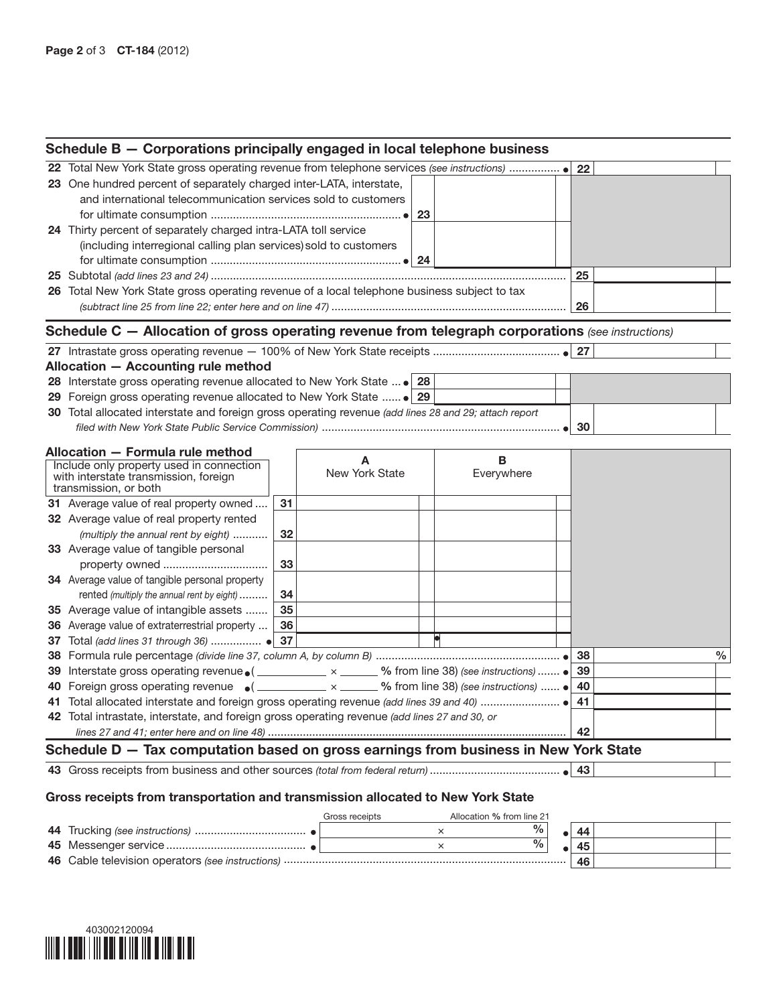| Schedule B - Corporations principally engaged in local telephone business                         |  |  |     |  |  |  |
|---------------------------------------------------------------------------------------------------|--|--|-----|--|--|--|
|                                                                                                   |  |  |     |  |  |  |
| 23 One hundred percent of separately charged inter-LATA, interstate,                              |  |  |     |  |  |  |
| and international telecommunication services sold to customers                                    |  |  |     |  |  |  |
|                                                                                                   |  |  |     |  |  |  |
| 24 Thirty percent of separately charged intra-LATA toll service                                   |  |  |     |  |  |  |
| (including interregional calling plan services) sold to customers                                 |  |  |     |  |  |  |
|                                                                                                   |  |  |     |  |  |  |
|                                                                                                   |  |  | 25  |  |  |  |
| 26 Total New York State gross operating revenue of a local telephone business subject to tax      |  |  |     |  |  |  |
|                                                                                                   |  |  | -26 |  |  |  |
| Schedule C - Allocation of gross operating revenue from telegraph corporations (see instructions) |  |  |     |  |  |  |
|                                                                                                   |  |  |     |  |  |  |

| Allocation - Accounting rule method                                                                                                     |  |  |                 |  |  |  |  |  |
|-----------------------------------------------------------------------------------------------------------------------------------------|--|--|-----------------|--|--|--|--|--|
| <b>28</b> Interstate gross operating revenue allocated to New York State  • 28                                                          |  |  |                 |  |  |  |  |  |
|                                                                                                                                         |  |  |                 |  |  |  |  |  |
| 30 Total allocated interstate and foreign gross operating revenue (add lines 28 and 29; attach report                                   |  |  |                 |  |  |  |  |  |
| filed with New York State Public Service Commission [ <i>maging maging minimum maging vith</i> New York State Public Service Commission |  |  | 30 <sub>1</sub> |  |  |  |  |  |

| Allocation - Formula rule method                                                                                                |    |                     |                 |    |   |
|---------------------------------------------------------------------------------------------------------------------------------|----|---------------------|-----------------|----|---|
| Include only property used in connection<br>with interstate transmission, foreign<br>transmission, or both                      |    | Α<br>New York State | B<br>Everywhere |    |   |
| <b>31</b> Average value of real property owned                                                                                  | 31 |                     |                 |    |   |
| 32 Average value of real property rented                                                                                        |    |                     |                 |    |   |
| (multiply the annual rent by eight)                                                                                             | 32 |                     |                 |    |   |
| 33 Average value of tangible personal                                                                                           |    |                     |                 |    |   |
|                                                                                                                                 | 33 |                     |                 |    |   |
| <b>34</b> Average value of tangible personal property                                                                           |    |                     |                 |    |   |
| rented (multiply the annual rent by eight)                                                                                      | 34 |                     |                 |    |   |
| 35 Average value of intangible assets                                                                                           | 35 |                     |                 |    |   |
| 36 Average value of extraterrestrial property                                                                                   | 36 |                     |                 |    |   |
| 37 Total (add lines 31 through 36)  • 37                                                                                        |    |                     |                 |    |   |
|                                                                                                                                 |    |                     |                 | 38 | % |
| Interstate gross operating revenue $\bullet$ ( $\_\_\_\_\_\_$ x $\_\_\_\_\_$ % from line 38) (see instructions) $\bullet$<br>39 |    |                     |                 | 39 |   |
| 40 Foreign gross operating revenue $\bullet$ (__________ x ______ % from line 38) (see instructions) $\bullet$                  |    |                     |                 | 40 |   |
|                                                                                                                                 |    |                     |                 | 41 |   |
| 42 Total intrastate, interstate, and foreign gross operating revenue (add lines 27 and 30, or                                   |    |                     |                 |    |   |
|                                                                                                                                 |    |                     |                 | 42 |   |
| Schedule D - Tax computation based on gross earnings from business in New York State                                            |    |                     |                 |    |   |

43 Gross receipts from business and other sources *(total from federal return)* ......................................... 43

## Gross receipts from transportation and transmission allocated to New York State

|  | Gross receipts | Allocation % from line 21 |    |  |
|--|----------------|---------------------------|----|--|
|  |                | %                         |    |  |
|  |                | %                         |    |  |
|  |                |                           | 46 |  |